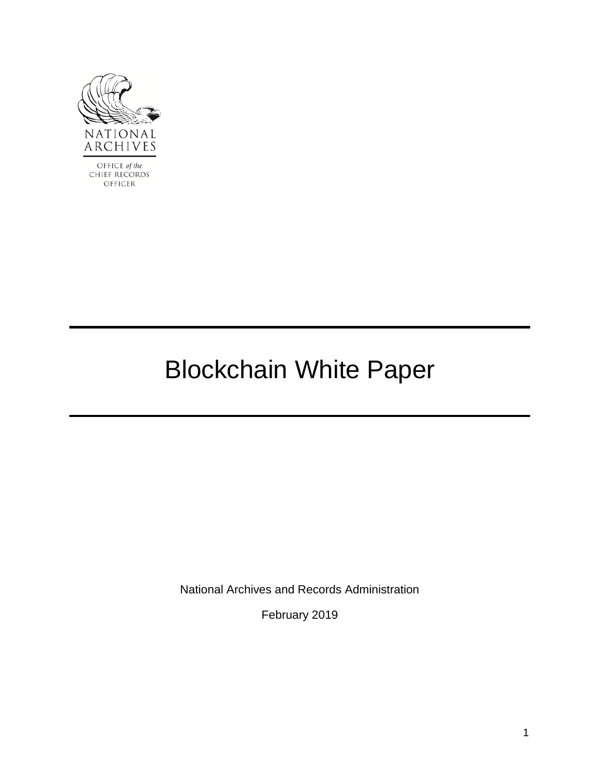

OFFICE of the CHIEF RECORDS OFFICER

# Blockchain White Paper

National Archives and Records Administration

February 2019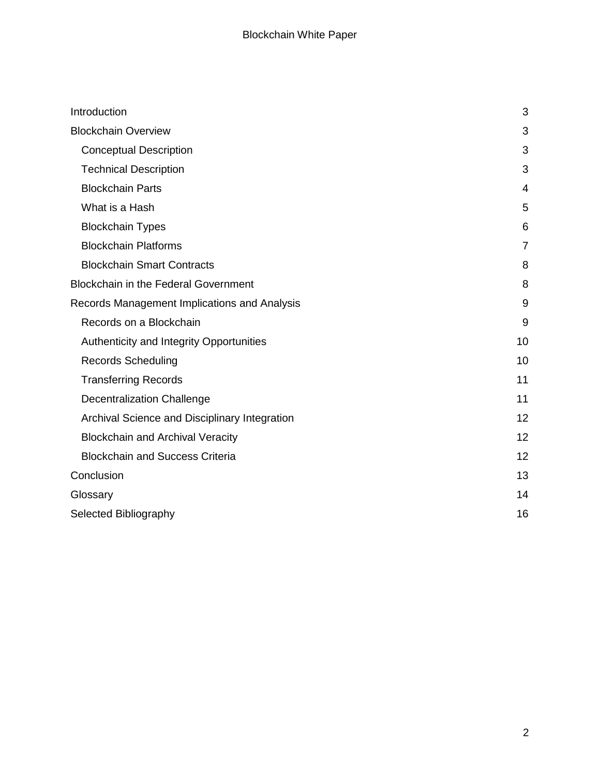| Introduction                                  | 3              |
|-----------------------------------------------|----------------|
| <b>Blockchain Overview</b>                    | 3              |
| <b>Conceptual Description</b>                 | 3              |
| <b>Technical Description</b>                  | 3              |
| <b>Blockchain Parts</b>                       | 4              |
| What is a Hash                                | 5              |
| <b>Blockchain Types</b>                       | 6              |
| <b>Blockchain Platforms</b>                   | $\overline{7}$ |
| <b>Blockchain Smart Contracts</b>             | 8              |
| <b>Blockchain in the Federal Government</b>   | 8              |
| Records Management Implications and Analysis  | 9              |
| Records on a Blockchain                       | 9              |
| Authenticity and Integrity Opportunities      | 10             |
| <b>Records Scheduling</b>                     | 10             |
| <b>Transferring Records</b>                   | 11             |
| <b>Decentralization Challenge</b>             | 11             |
| Archival Science and Disciplinary Integration | 12             |
| <b>Blockchain and Archival Veracity</b>       | 12             |
| <b>Blockchain and Success Criteria</b>        | 12             |
| Conclusion                                    | 13             |
| Glossary                                      | 14             |
| Selected Bibliography                         | 16             |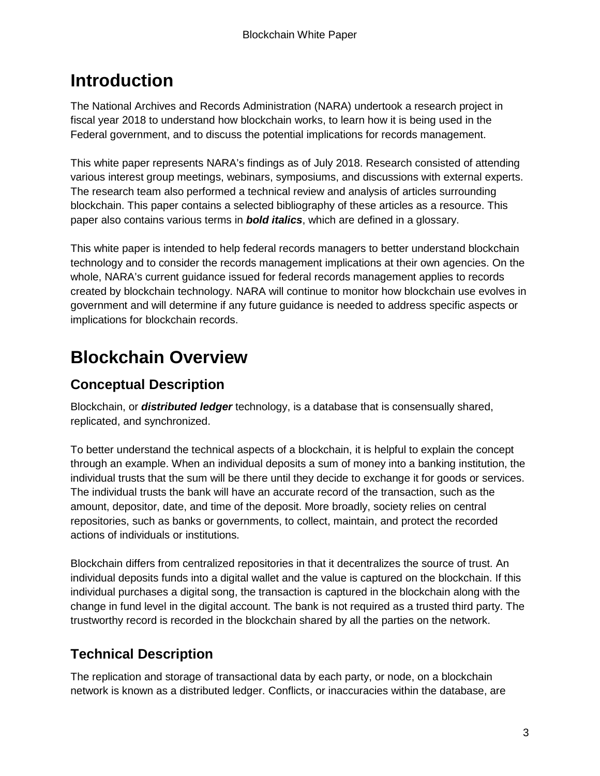# <span id="page-2-0"></span>**Introduction**

The National Archives and Records Administration (NARA) undertook a research project in fiscal year 2018 to understand how blockchain works, to learn how it is being used in the Federal government, and to discuss the potential implications for records management.

This white paper represents NARA's findings as of July 2018. Research consisted of attending various interest group meetings, webinars, symposiums, and discussions with external experts. The research team also performed a technical review and analysis of articles surrounding blockchain. This paper contains a selected bibliography of these articles as a resource. This paper also contains various terms in *bold italics*, which are defined in a glossary.

This white paper is intended to help federal records managers to better understand blockchain technology and to consider the records management implications at their own agencies. On the whole, NARA's current guidance issued for federal records management applies to records created by blockchain technology. NARA will continue to monitor how blockchain use evolves in government and will determine if any future guidance is needed to address specific aspects or implications for blockchain records.

# <span id="page-2-1"></span>**Blockchain Overview**

### <span id="page-2-2"></span>**Conceptual Description**

Blockchain, or *distributed ledger* technology, is a database that is consensually shared, replicated, and synchronized.

To better understand the technical aspects of a blockchain, it is helpful to explain the concept through an example. When an individual deposits a sum of money into a banking institution, the individual trusts that the sum will be there until they decide to exchange it for goods or services. The individual trusts the bank will have an accurate record of the transaction, such as the amount, depositor, date, and time of the deposit. More broadly, society relies on central repositories, such as banks or governments, to collect, maintain, and protect the recorded actions of individuals or institutions.

Blockchain differs from centralized repositories in that it decentralizes the source of trust. An individual deposits funds into a digital wallet and the value is captured on the blockchain. If this individual purchases a digital song, the transaction is captured in the blockchain along with the change in fund level in the digital account. The bank is not required as a trusted third party. The trustworthy record is recorded in the blockchain shared by all the parties on the network.

### <span id="page-2-3"></span>**Technical Description**

The replication and storage of transactional data by each party, or node, on a blockchain network is known as a distributed ledger. Conflicts, or inaccuracies within the database, are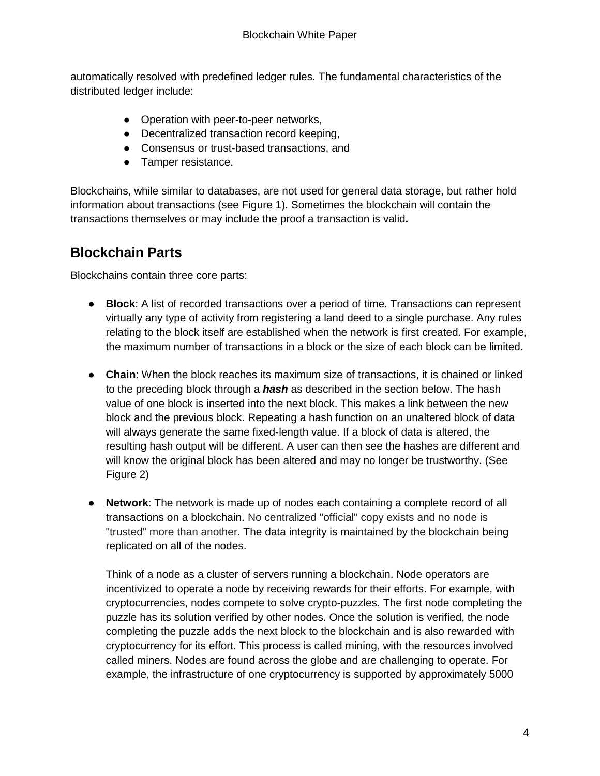automatically resolved with predefined ledger rules. The fundamental characteristics of the distributed ledger include:

- Operation with peer-to-peer networks,
- Decentralized transaction record keeping,
- Consensus or trust-based transactions, and
- Tamper resistance.

Blockchains, while similar to databases, are not used for general data storage, but rather hold information about transactions (see Figure 1). Sometimes the blockchain will contain the transactions themselves or may include the proof a transaction is valid**.** 

#### <span id="page-3-0"></span>**Blockchain Parts**

Blockchains contain three core parts:

- **Block**: A list of recorded transactions over a period of time. Transactions can represent virtually any type of activity from registering a land deed to a single purchase. Any rules relating to the block itself are established when the network is first created. For example, the maximum number of transactions in a block or the size of each block can be limited.
- **Chain**: When the block reaches its maximum size of transactions, it is chained or linked to the preceding block through a *hash* as described in the section below. The hash value of one block is inserted into the next block. This makes a link between the new block and the previous block. Repeating a hash function on an unaltered block of data will always generate the same fixed-length value. If a block of data is altered, the resulting hash output will be different. A user can then see the hashes are different and will know the original block has been altered and may no longer be trustworthy. (See Figure 2)
- **Network**: The network is made up of nodes each containing a complete record of all transactions on a blockchain. No centralized "official" copy exists and no node is "trusted" more than another. The data integrity is maintained by the blockchain being replicated on all of the nodes.

Think of a node as a cluster of servers running a blockchain. Node operators are incentivized to operate a node by receiving rewards for their efforts. For example, with cryptocurrencies, nodes compete to solve crypto-puzzles. The first node completing the puzzle has its solution verified by other nodes. Once the solution is verified, the node completing the puzzle adds the next block to the blockchain and is also rewarded with cryptocurrency for its effort. This process is called mining, with the resources involved called miners. Nodes are found across the globe and are challenging to operate. For example, the infrastructure of one cryptocurrency is supported by approximately 5000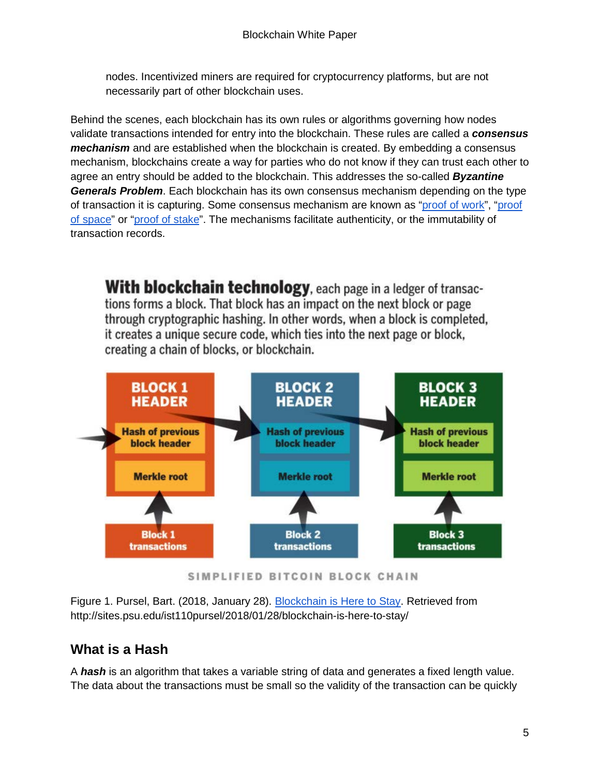nodes. Incentivized miners are required for cryptocurrency platforms, but are not necessarily part of other blockchain uses.

Behind the scenes, each blockchain has its own rules or algorithms governing how nodes validate transactions intended for entry into the blockchain. These rules are called a *consensus mechanism* and are established when the blockchain is created. By embedding a consensus mechanism, blockchains create a way for parties who do not know if they can trust each other to agree an entry should be added to the blockchain. This addresses the so-called *Byzantine Generals Problem*. Each blockchain has its own consensus mechanism depending on the type of transaction it is capturing. Some consensus mechanism are known as ["proof of work"](https://en.wikipedia.org/wiki/Proof-of-work_system), "proof [of space"](https://en.wikipedia.org/wiki/Proof-of-space) or ["proof of stake"](https://en.wikipedia.org/wiki/Proof-of-stake). The mechanisms facilitate authenticity, or the immutability of transaction records.

**With blockchain technology**, each page in a ledger of transactions forms a block. That block has an impact on the next block or page through cryptographic hashing. In other words, when a block is completed, it creates a unique secure code, which ties into the next page or block, creating a chain of blocks, or blockchain.



SIMPLIFIED BITCOIN BLOCK CHAIN

Figure 1. Pursel, Bart. (2018, January 28). [Blockchain is Here to Stay.](http://sites.psu.edu/ist110pursel/2018/01/28/blockchain-is-here-to-stay/) Retrieved from http://sites.psu.edu/ist110pursel/2018/01/28/blockchain-is-here-to-stay/

#### <span id="page-4-0"></span>**What is a Hash**

A *hash* is an algorithm that takes a variable string of data and generates a fixed length value. The data about the transactions must be small so the validity of the transaction can be quickly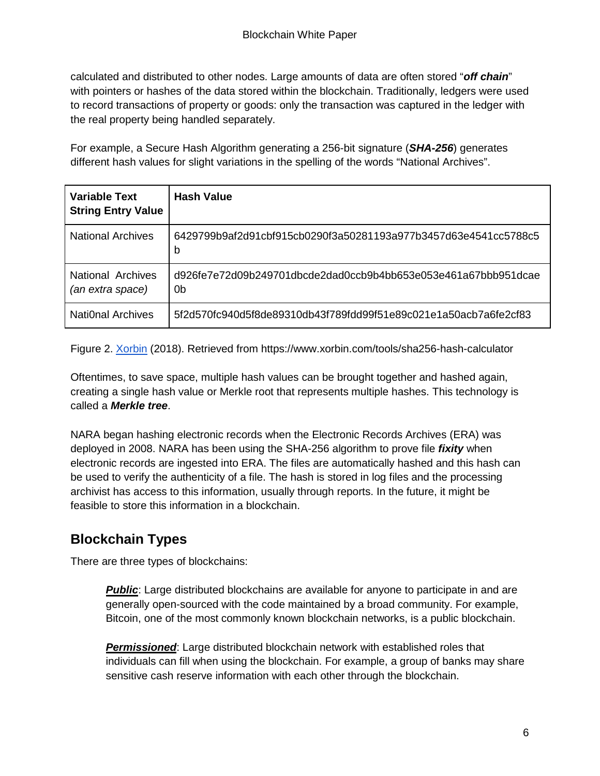calculated and distributed to other nodes. Large amounts of data are often stored "*off chain*" with pointers or hashes of the data stored within the blockchain. Traditionally, ledgers were used to record transactions of property or goods: only the transaction was captured in the ledger with the real property being handled separately.

For example, a Secure Hash Algorithm generating a 256-bit signature (*SHA-256*) generates different hash values for slight variations in the spelling of the words "National Archives".

| <b>Variable Text</b><br><b>String Entry Value</b> | Hash Value                                                           |
|---------------------------------------------------|----------------------------------------------------------------------|
| <b>National Archives</b>                          | 6429799b9af2d91cbf915cb0290f3a50281193a977b3457d63e4541cc5788c5<br>b |
| <b>National Archives</b><br>(an extra space)      | d926fe7e72d09b249701dbcde2dad0ccb9b4bb653e053e461a67bbb951dcae<br>0b |
| National Archives                                 | 5f2d570fc940d5f8de89310db43f789fdd99f51e89c021e1a50acb7a6fe2cf83     |

Figure 2. [Xorbin](https://www.xorbin.com/tools/sha256-hash-calculator) (2018). Retrieved from https://www.xorbin.com/tools/sha256-hash-calculator

Oftentimes, to save space, multiple hash values can be brought together and hashed again, creating a single hash value or Merkle root that represents multiple hashes. This technology is called a *Merkle tree*.

NARA began hashing electronic records when the Electronic Records Archives (ERA) was deployed in 2008. NARA has been using the SHA-256 algorithm to prove file *fixity* when electronic records are ingested into ERA. The files are automatically hashed and this hash can be used to verify the authenticity of a file. The hash is stored in log files and the processing archivist has access to this information, usually through reports. In the future, it might be feasible to store this information in a blockchain.

#### <span id="page-5-0"></span>**Blockchain Types**

There are three types of blockchains:

**Public**: Large distributed blockchains are available for anyone to participate in and are generally open-sourced with the code maintained by a broad community. For example, Bitcoin, one of the most commonly known blockchain networks, is a public blockchain.

*Permissioned*: Large distributed blockchain network with established roles that individuals can fill when using the blockchain. For example, a group of banks may share sensitive cash reserve information with each other through the blockchain.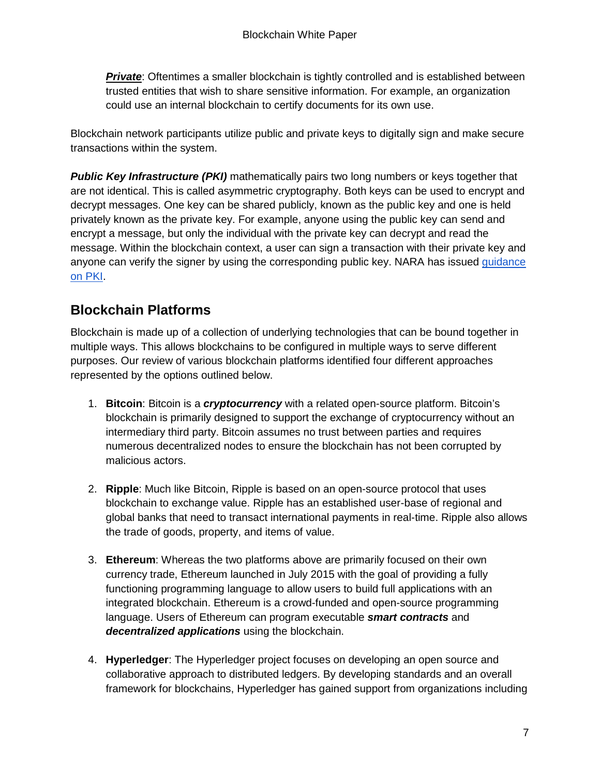**Private**: Oftentimes a smaller blockchain is tightly controlled and is established between trusted entities that wish to share sensitive information. For example, an organization could use an internal blockchain to certify documents for its own use.

Blockchain network participants utilize public and private keys to digitally sign and make secure transactions within the system.

**Public Key Infrastructure (PKI)** mathematically pairs two long numbers or keys together that are not identical. This is called asymmetric cryptography. Both keys can be used to encrypt and decrypt messages. One key can be shared publicly, known as the public key and one is held privately known as the private key. For example, anyone using the public key can send and encrypt a message, but only the individual with the private key can decrypt and read the message. Within the blockchain context, a user can sign a transaction with their private key and anyone can verify the signer by using the corresponding public key. NARA has issued [guidance](https://www.archives.gov/records-mgmt/bulletins/2015/2015-03.html)  [on PKI.](https://www.archives.gov/records-mgmt/bulletins/2015/2015-03.html)

#### <span id="page-6-0"></span>**Blockchain Platforms**

Blockchain is made up of a collection of underlying technologies that can be bound together in multiple ways. This allows blockchains to be configured in multiple ways to serve different purposes. Our review of various blockchain platforms identified four different approaches represented by the options outlined below.

- 1. **Bitcoin**: Bitcoin is a *cryptocurrency* with a related open-source platform. Bitcoin's blockchain is primarily designed to support the exchange of cryptocurrency without an intermediary third party. Bitcoin assumes no trust between parties and requires numerous decentralized nodes to ensure the blockchain has not been corrupted by malicious actors.
- 2. **Ripple**: Much like Bitcoin, Ripple is based on an open-source protocol that uses blockchain to exchange value. Ripple has an established user-base of regional and global banks that need to transact international payments in real-time. Ripple also allows the trade of goods, property, and items of value.
- 3. **Ethereum**: Whereas the two platforms above are primarily focused on their own currency trade, Ethereum launched in July 2015 with the goal of providing a fully functioning programming language to allow users to build full applications with an integrated blockchain. Ethereum is a crowd-funded and open-source programming language. Users of Ethereum can program executable *smart contracts* and *decentralized applications* using the blockchain.
- 4. **Hyperledger**: The Hyperledger project focuses on developing an open source and collaborative approach to distributed ledgers. By developing standards and an overall framework for blockchains, Hyperledger has gained support from organizations including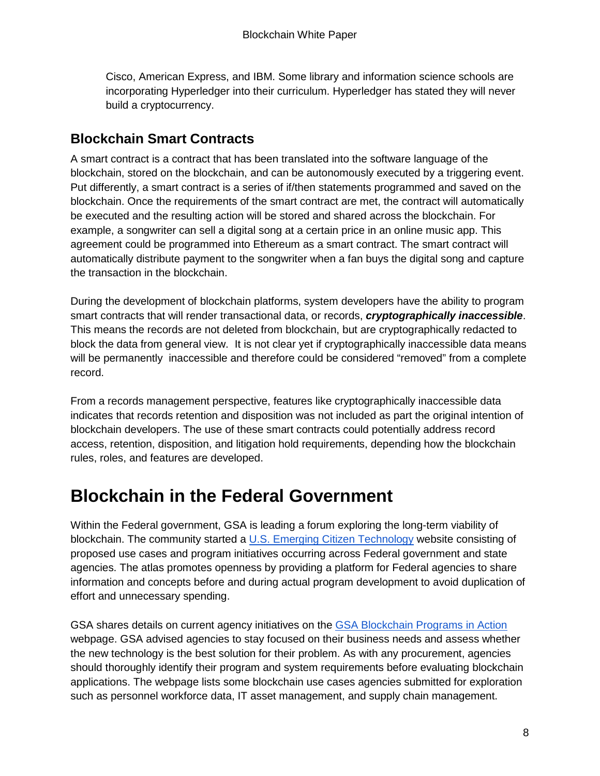Cisco, American Express, and IBM. Some library and information science schools are incorporating Hyperledger into their curriculum. Hyperledger has stated they will never build a cryptocurrency.

#### <span id="page-7-0"></span>**Blockchain Smart Contracts**

A smart contract is a contract that has been translated into the software language of the blockchain, stored on the blockchain, and can be autonomously executed by a triggering event. Put differently, a smart contract is a series of if/then statements programmed and saved on the blockchain. Once the requirements of the smart contract are met, the contract will automatically be executed and the resulting action will be stored and shared across the blockchain. For example, a songwriter can sell a digital song at a certain price in an online music app. This agreement could be programmed into Ethereum as a smart contract. The smart contract will automatically distribute payment to the songwriter when a fan buys the digital song and capture the transaction in the blockchain.

During the development of blockchain platforms, system developers have the ability to program smart contracts that will render transactional data, or records, *cryptographically inaccessible*. This means the records are not deleted from blockchain, but are cryptographically redacted to block the data from general view. It is not clear yet if cryptographically inaccessible data means will be permanently inaccessible and therefore could be considered "removed" from a complete record.

From a records management perspective, features like cryptographically inaccessible data indicates that records retention and disposition was not included as part the original intention of blockchain developers. The use of these smart contracts could potentially address record access, retention, disposition, and litigation hold requirements, depending how the blockchain rules, roles, and features are developed.

### <span id="page-7-1"></span>**Blockchain in the Federal Government**

Within the Federal government, GSA is leading a forum exploring the long-term viability of blockchain. The community started a [U.S. Emerging Citizen Technology](https://emerging.digital.gov/) website consisting of proposed use cases and program initiatives occurring across Federal government and state agencies. The atlas promotes openness by providing a platform for Federal agencies to share information and concepts before and during actual program development to avoid duplication of effort and unnecessary spending.

GSA shares details on current agency initiatives on the [GSA Blockchain Programs in Action](https://emerging.digital.gov/blockchain-programs/) webpage. GSA advised agencies to stay focused on their business needs and assess whether the new technology is the best solution for their problem. As with any procurement, agencies should thoroughly identify their program and system requirements before evaluating blockchain applications. The webpage lists some blockchain use cases agencies submitted for exploration such as personnel workforce data, IT asset management, and supply chain management.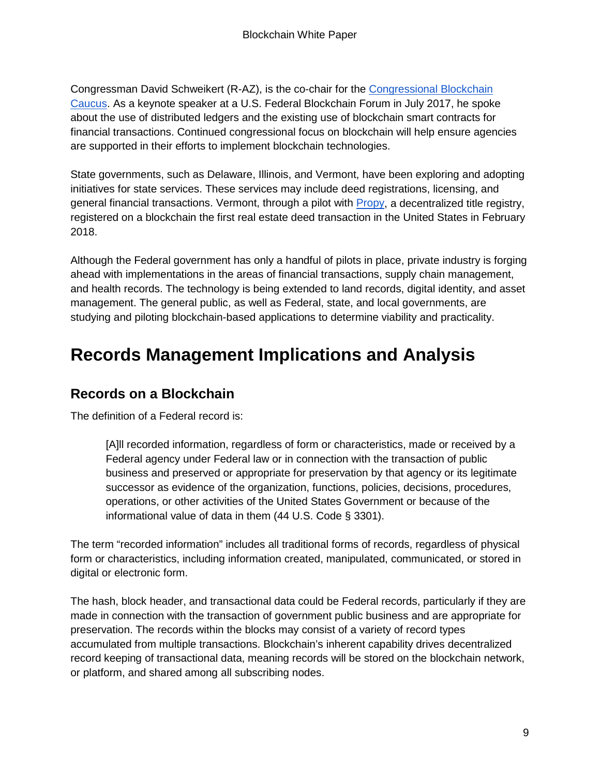Congressman David Schweikert (R-AZ), is the co-chair for the [Congressional Blockchain](https://www.congressionalblockchaincaucus.com/)  [Caucus.](https://www.congressionalblockchaincaucus.com/) As a keynote speaker at a U.S. Federal Blockchain Forum in July 2017, he spoke about the use of distributed ledgers and the existing use of blockchain smart contracts for financial transactions. Continued congressional focus on blockchain will help ensure agencies are supported in their efforts to implement blockchain technologies.

State governments, such as Delaware, Illinois, and Vermont, have been exploring and adopting initiatives for state services. These services may include deed registrations, licensing, and general financial transactions. Vermont, through a pilot with [Propy,](https://propy.com/) a decentralized title registry, registered on a blockchain the first real estate deed transaction in the United States in February 2018.

Although the Federal government has only a handful of pilots in place, private industry is forging ahead with implementations in the areas of financial transactions, supply chain management, and health records. The technology is being extended to land records, digital identity, and asset management. The general public, as well as Federal, state, and local governments, are studying and piloting blockchain-based applications to determine viability and practicality.

### <span id="page-8-0"></span>**Records Management Implications and Analysis**

#### <span id="page-8-1"></span>**Records on a Blockchain**

The definition of a Federal record is:

[A]ll recorded information, regardless of form or characteristics, made or received by a Federal agency under Federal law or in connection with the transaction of public business and preserved or appropriate for preservation by that agency or its legitimate successor as evidence of the organization, functions, policies, decisions, procedures, operations, or other activities of the United States Government or because of the informational value of data in them (44 U.S. Code § 3301).

The term "recorded information" includes all traditional forms of records, regardless of physical form or characteristics, including information created, manipulated, communicated, or stored in digital or electronic form.

The hash, block header, and transactional data could be Federal records, particularly if they are made in connection with the transaction of government public business and are appropriate for preservation. The records within the blocks may consist of a variety of record types accumulated from multiple transactions. Blockchain's inherent capability drives decentralized record keeping of transactional data, meaning records will be stored on the blockchain network, or platform, and shared among all subscribing nodes.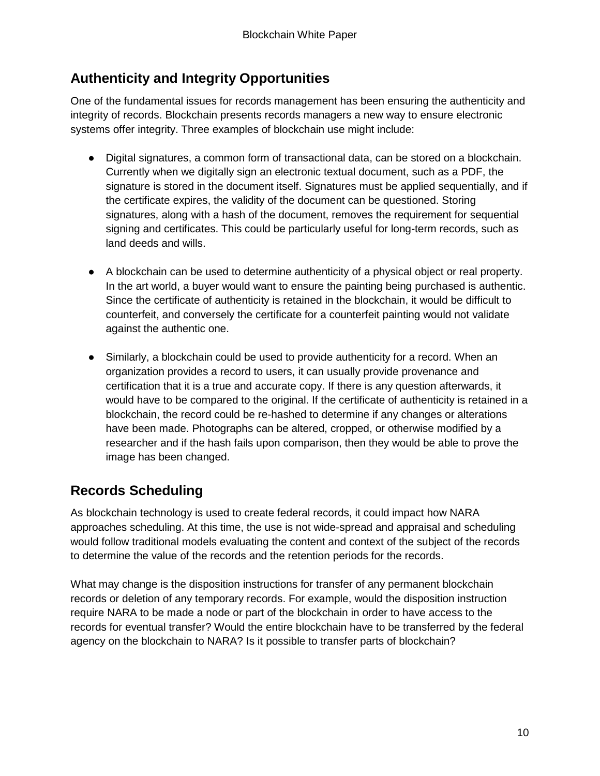#### <span id="page-9-0"></span>**Authenticity and Integrity Opportunities**

One of the fundamental issues for records management has been ensuring the authenticity and integrity of records. Blockchain presents records managers a new way to ensure electronic systems offer integrity. Three examples of blockchain use might include:

- Digital signatures, a common form of transactional data, can be stored on a blockchain. Currently when we digitally sign an electronic textual document, such as a PDF, the signature is stored in the document itself. Signatures must be applied sequentially, and if the certificate expires, the validity of the document can be questioned. Storing signatures, along with a hash of the document, removes the requirement for sequential signing and certificates. This could be particularly useful for long-term records, such as land deeds and wills.
- A blockchain can be used to determine authenticity of a physical object or real property. In the art world, a buyer would want to ensure the painting being purchased is authentic. Since the certificate of authenticity is retained in the blockchain, it would be difficult to counterfeit, and conversely the certificate for a counterfeit painting would not validate against the authentic one.
- Similarly, a blockchain could be used to provide authenticity for a record. When an organization provides a record to users, it can usually provide provenance and certification that it is a true and accurate copy. If there is any question afterwards, it would have to be compared to the original. If the certificate of authenticity is retained in a blockchain, the record could be re-hashed to determine if any changes or alterations have been made. Photographs can be altered, cropped, or otherwise modified by a researcher and if the hash fails upon comparison, then they would be able to prove the image has been changed.

### <span id="page-9-1"></span>**Records Scheduling**

As blockchain technology is used to create federal records, it could impact how NARA approaches scheduling. At this time, the use is not wide-spread and appraisal and scheduling would follow traditional models evaluating the content and context of the subject of the records to determine the value of the records and the retention periods for the records.

What may change is the disposition instructions for transfer of any permanent blockchain records or deletion of any temporary records. For example, would the disposition instruction require NARA to be made a node or part of the blockchain in order to have access to the records for eventual transfer? Would the entire blockchain have to be transferred by the federal agency on the blockchain to NARA? Is it possible to transfer parts of blockchain?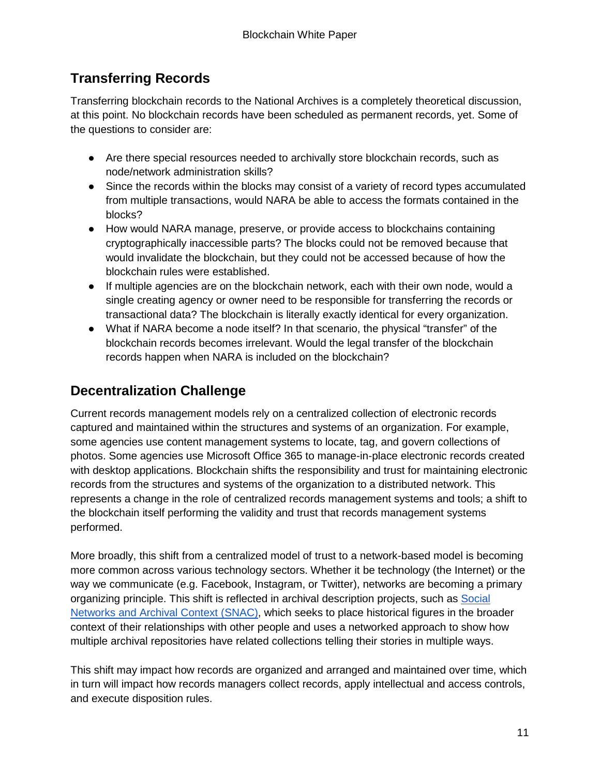#### <span id="page-10-0"></span>**Transferring Records**

Transferring blockchain records to the National Archives is a completely theoretical discussion, at this point. No blockchain records have been scheduled as permanent records, yet. Some of the questions to consider are:

- Are there special resources needed to archivally store blockchain records, such as node/network administration skills?
- Since the records within the blocks may consist of a variety of record types accumulated from multiple transactions, would NARA be able to access the formats contained in the blocks?
- How would NARA manage, preserve, or provide access to blockchains containing cryptographically inaccessible parts? The blocks could not be removed because that would invalidate the blockchain, but they could not be accessed because of how the blockchain rules were established.
- If multiple agencies are on the blockchain network, each with their own node, would a single creating agency or owner need to be responsible for transferring the records or transactional data? The blockchain is literally exactly identical for every organization.
- What if NARA become a node itself? In that scenario, the physical "transfer" of the blockchain records becomes irrelevant. Would the legal transfer of the blockchain records happen when NARA is included on the blockchain?

#### <span id="page-10-1"></span>**Decentralization Challenge**

Current records management models rely on a centralized collection of electronic records captured and maintained within the structures and systems of an organization. For example, some agencies use content management systems to locate, tag, and govern collections of photos. Some agencies use Microsoft Office 365 to manage-in-place electronic records created with desktop applications. Blockchain shifts the responsibility and trust for maintaining electronic records from the structures and systems of the organization to a distributed network. This represents a change in the role of centralized records management systems and tools; a shift to the blockchain itself performing the validity and trust that records management systems performed.

More broadly, this shift from a centralized model of trust to a network-based model is becoming more common across various technology sectors. Whether it be technology (the Internet) or the way we communicate (e.g. Facebook, Instagram, or Twitter), networks are becoming a primary organizing principle. This shift is reflected in archival description projects, such as Social [Networks and Archival Context \(SNAC\),](http://snaccooperative.org/) which seeks to place historical figures in the broader context of their relationships with other people and uses a networked approach to show how multiple archival repositories have related collections telling their stories in multiple ways.

This shift may impact how records are organized and arranged and maintained over time, which in turn will impact how records managers collect records, apply intellectual and access controls, and execute disposition rules.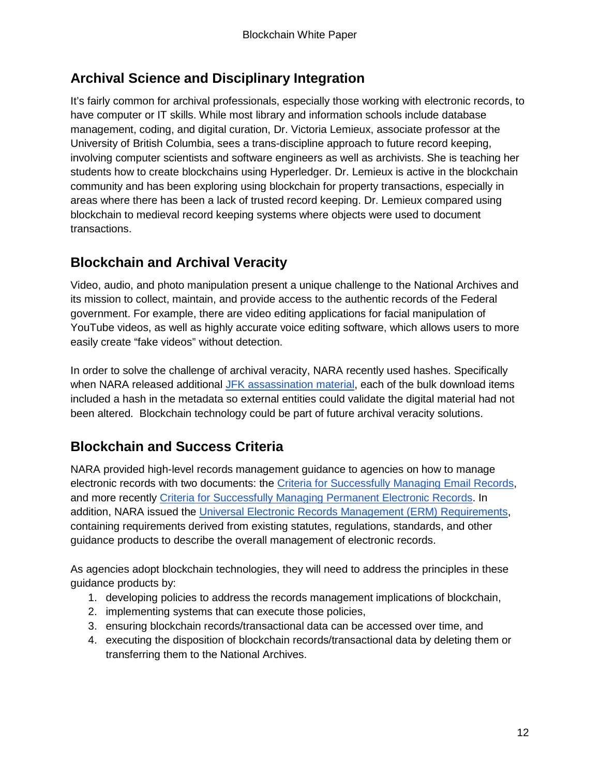#### <span id="page-11-0"></span>**Archival Science and Disciplinary Integration**

It's fairly common for archival professionals, especially those working with electronic records, to have computer or IT skills. While most library and information schools include database management, coding, and digital curation, Dr. Victoria Lemieux, associate professor at the University of British Columbia, sees a trans-discipline approach to future record keeping, involving computer scientists and software engineers as well as archivists. She is teaching her students how to create blockchains using Hyperledger. Dr. Lemieux is active in the blockchain community and has been exploring using blockchain for property transactions, especially in areas where there has been a lack of trusted record keeping. Dr. Lemieux compared using blockchain to medieval record keeping systems where objects were used to document transactions.

### <span id="page-11-1"></span>**Blockchain and Archival Veracity**

Video, audio, and photo manipulation present a unique challenge to the National Archives and its mission to collect, maintain, and provide access to the authentic records of the Federal government. For example, there are video editing applications for facial manipulation of YouTube videos, as well as highly accurate voice editing software, which allows users to more easily create "fake videos" without detection.

In order to solve the challenge of archival veracity, NARA recently used hashes. Specifically when NARA released additional [JFK assassination material,](https://www.archives.gov/research/jfk/jfkbulkdownload) each of the bulk download items included a hash in the metadata so external entities could validate the digital material had not been altered. Blockchain technology could be part of future archival veracity solutions.

#### <span id="page-11-2"></span>**Blockchain and Success Criteria**

NARA provided high-level records management guidance to agencies on how to manage electronic records with two documents: the [Criteria for Successfully Managing Email Records,](https://www.archives.gov/records-mgmt/email-management/2016-email-mgmt-success-criteria.pdf) and more recently [Criteria for Successfully Managing Permanent Electronic Records.](https://www.archives.gov/files/records-mgmt/policy/2019-perm-electronic-records-success-criteria.pdf) In addition, NARA issued the [Universal Electronic Records Management \(ERM\) Requirements,](https://www.archives.gov/records-mgmt/policy/universalermrequirements) containing requirements derived from existing statutes, regulations, standards, and other guidance products to describe the overall management of electronic records.

As agencies adopt blockchain technologies, they will need to address the principles in these guidance products by:

- 1. developing policies to address the records management implications of blockchain,
- 2. implementing systems that can execute those policies,
- 3. ensuring blockchain records/transactional data can be accessed over time, and
- 4. executing the disposition of blockchain records/transactional data by deleting them or transferring them to the National Archives.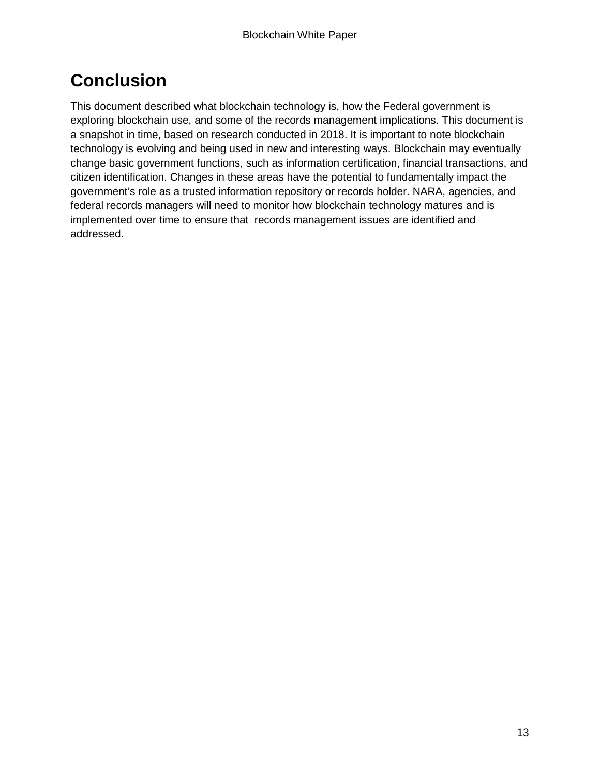# <span id="page-12-0"></span>**Conclusion**

This document described what blockchain technology is, how the Federal government is exploring blockchain use, and some of the records management implications. This document is a snapshot in time, based on research conducted in 2018. It is important to note blockchain technology is evolving and being used in new and interesting ways. Blockchain may eventually change basic government functions, such as information certification, financial transactions, and citizen identification. Changes in these areas have the potential to fundamentally impact the government's role as a trusted information repository or records holder. NARA, agencies, and federal records managers will need to monitor how blockchain technology matures and is implemented over time to ensure that records management issues are identified and addressed.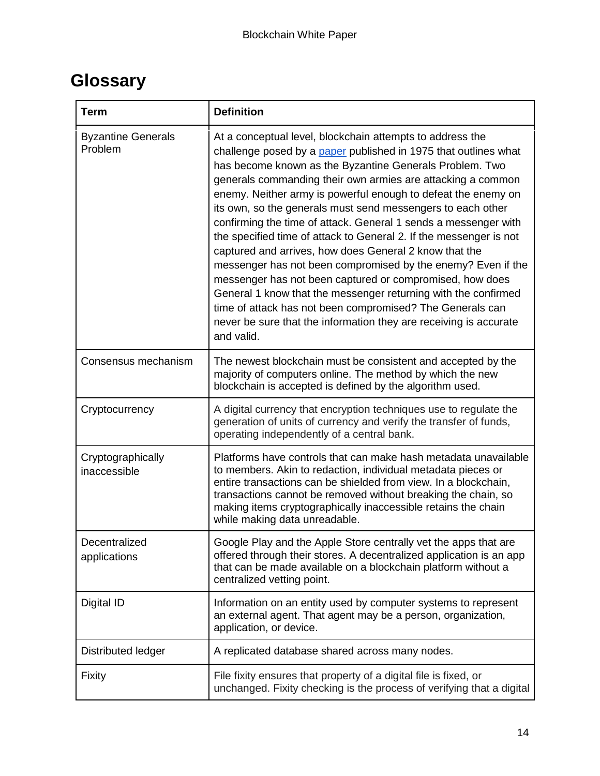# <span id="page-13-0"></span>**Glossary**

| <b>Term</b>                          | <b>Definition</b>                                                                                                                                                                                                                                                                                                                                                                                                                                                                                                                                                                                                                                                                                                                                                                                                                                                                                                                       |
|--------------------------------------|-----------------------------------------------------------------------------------------------------------------------------------------------------------------------------------------------------------------------------------------------------------------------------------------------------------------------------------------------------------------------------------------------------------------------------------------------------------------------------------------------------------------------------------------------------------------------------------------------------------------------------------------------------------------------------------------------------------------------------------------------------------------------------------------------------------------------------------------------------------------------------------------------------------------------------------------|
| <b>Byzantine Generals</b><br>Problem | At a conceptual level, blockchain attempts to address the<br>challenge posed by a paper published in 1975 that outlines what<br>has become known as the Byzantine Generals Problem. Two<br>generals commanding their own armies are attacking a common<br>enemy. Neither army is powerful enough to defeat the enemy on<br>its own, so the generals must send messengers to each other<br>confirming the time of attack. General 1 sends a messenger with<br>the specified time of attack to General 2. If the messenger is not<br>captured and arrives, how does General 2 know that the<br>messenger has not been compromised by the enemy? Even if the<br>messenger has not been captured or compromised, how does<br>General 1 know that the messenger returning with the confirmed<br>time of attack has not been compromised? The Generals can<br>never be sure that the information they are receiving is accurate<br>and valid. |
| Consensus mechanism                  | The newest blockchain must be consistent and accepted by the<br>majority of computers online. The method by which the new<br>blockchain is accepted is defined by the algorithm used.                                                                                                                                                                                                                                                                                                                                                                                                                                                                                                                                                                                                                                                                                                                                                   |
| Cryptocurrency                       | A digital currency that encryption techniques use to regulate the<br>generation of units of currency and verify the transfer of funds,<br>operating independently of a central bank.                                                                                                                                                                                                                                                                                                                                                                                                                                                                                                                                                                                                                                                                                                                                                    |
| Cryptographically<br>inaccessible    | Platforms have controls that can make hash metadata unavailable<br>to members. Akin to redaction, individual metadata pieces or<br>entire transactions can be shielded from view. In a blockchain,<br>transactions cannot be removed without breaking the chain, so<br>making items cryptographically inaccessible retains the chain<br>while making data unreadable.                                                                                                                                                                                                                                                                                                                                                                                                                                                                                                                                                                   |
| Decentralized<br>applications        | Google Play and the Apple Store centrally vet the apps that are<br>offered through their stores. A decentralized application is an app<br>that can be made available on a blockchain platform without a<br>centralized vetting point.                                                                                                                                                                                                                                                                                                                                                                                                                                                                                                                                                                                                                                                                                                   |
| Digital ID                           | Information on an entity used by computer systems to represent<br>an external agent. That agent may be a person, organization,<br>application, or device.                                                                                                                                                                                                                                                                                                                                                                                                                                                                                                                                                                                                                                                                                                                                                                               |
| Distributed ledger                   | A replicated database shared across many nodes.                                                                                                                                                                                                                                                                                                                                                                                                                                                                                                                                                                                                                                                                                                                                                                                                                                                                                         |
| <b>Fixity</b>                        | File fixity ensures that property of a digital file is fixed, or<br>unchanged. Fixity checking is the process of verifying that a digital                                                                                                                                                                                                                                                                                                                                                                                                                                                                                                                                                                                                                                                                                                                                                                                               |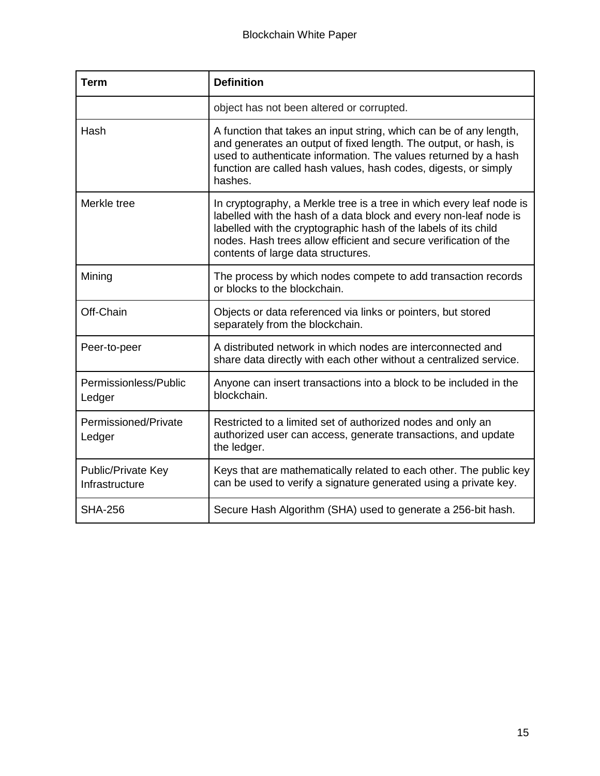| <b>Term</b>                          | <b>Definition</b>                                                                                                                                                                                                                                                                                                      |
|--------------------------------------|------------------------------------------------------------------------------------------------------------------------------------------------------------------------------------------------------------------------------------------------------------------------------------------------------------------------|
|                                      | object has not been altered or corrupted.                                                                                                                                                                                                                                                                              |
| Hash                                 | A function that takes an input string, which can be of any length,<br>and generates an output of fixed length. The output, or hash, is<br>used to authenticate information. The values returned by a hash<br>function are called hash values, hash codes, digests, or simply<br>hashes.                                |
| Merkle tree                          | In cryptography, a Merkle tree is a tree in which every leaf node is<br>labelled with the hash of a data block and every non-leaf node is<br>labelled with the cryptographic hash of the labels of its child<br>nodes. Hash trees allow efficient and secure verification of the<br>contents of large data structures. |
| Mining                               | The process by which nodes compete to add transaction records<br>or blocks to the blockchain.                                                                                                                                                                                                                          |
| Off-Chain                            | Objects or data referenced via links or pointers, but stored<br>separately from the blockchain.                                                                                                                                                                                                                        |
| Peer-to-peer                         | A distributed network in which nodes are interconnected and<br>share data directly with each other without a centralized service.                                                                                                                                                                                      |
| Permissionless/Public<br>Ledger      | Anyone can insert transactions into a block to be included in the<br>blockchain.                                                                                                                                                                                                                                       |
| Permissioned/Private<br>Ledger       | Restricted to a limited set of authorized nodes and only an<br>authorized user can access, generate transactions, and update<br>the ledger.                                                                                                                                                                            |
| Public/Private Key<br>Infrastructure | Keys that are mathematically related to each other. The public key<br>can be used to verify a signature generated using a private key.                                                                                                                                                                                 |
| <b>SHA-256</b>                       | Secure Hash Algorithm (SHA) used to generate a 256-bit hash.                                                                                                                                                                                                                                                           |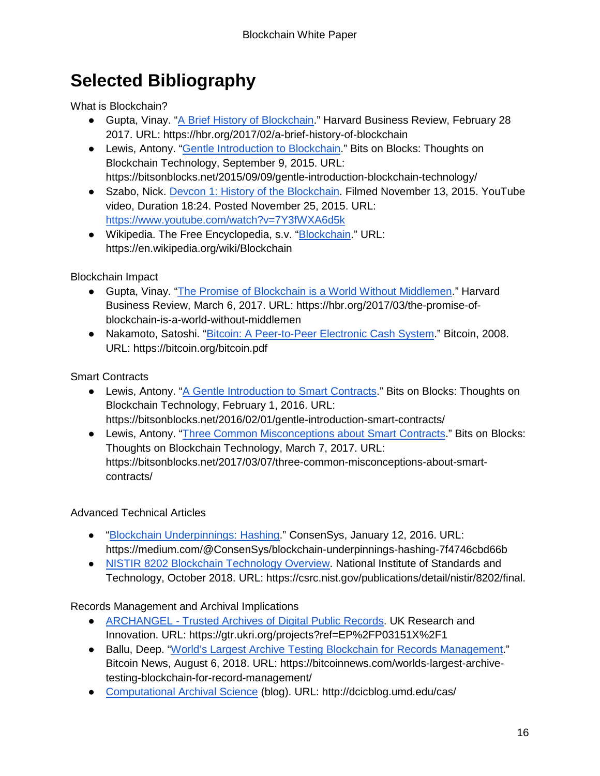# <span id="page-15-0"></span>**Selected Bibliography**

What is Blockchain?

- Gupta, Vinay. ["A Brief History of Blockchain.](https://hbr.org/2017/02/a-brief-history-of-blockchain)" Harvard Business Review, February 28 2017. URL: https://hbr.org/2017/02/a-brief-history-of-blockchain
- Lewis, Antony. ["Gentle Introduction to Blockchain.](https://bitsonblocks.net/2015/09/09/a-gentle-introduction-to-blockchain-technology/)" Bits on Blocks: Thoughts on Blockchain Technology, September 9, 2015. URL: https://bitsonblocks.net/2015/09/09/gentle-introduction-blockchain-technology/
- Szabo, Nick. [Devcon 1: History of the Blockchain.](https://www.youtube.com/watch?v=7Y3fWXA6d5k) Filmed November 13, 2015. YouTube video, Duration 18:24. Posted November 25, 2015. URL: <https://www.youtube.com/watch?v=7Y3fWXA6d5k>
- Wikipedia. The Free Encyclopedia, s.v. ["Blockchain.](https://en.wikipedia.org/wiki/Blockchain)" URL: https://en.wikipedia.org/wiki/Blockchain

Blockchain Impact

- Gupta, Vinay. ["The Promise of Blockchain is a World Without Middlemen.](https://hbr.org/2017/03/the-promise-of-blockchain-is-a-world-without-middlemen)" Harvard Business Review, March 6, 2017. URL: https://hbr.org/2017/03/the-promise-ofblockchain-is-a-world-without-middlemen
- Nakamoto, Satoshi. ["Bitcoin: A Peer-to-Peer Electronic Cash System.](https://bitcoin.org/bitcoin.pdf)" Bitcoin, 2008. URL: https://bitcoin.org/bitcoin.pdf

Smart Contracts

- Lewis, Antony. ["A Gentle Introduction to Smart Contracts.](https://bitsonblocks.net/2016/02/01/a-gentle-introduction-to-smart-contracts/)" Bits on Blocks: Thoughts on Blockchain Technology, February 1, 2016. URL: https://bitsonblocks.net/2016/02/01/gentle-introduction-smart-contracts/
- Lewis, Antony. ["Three Common Misconceptions about Smart Contracts.](https://bitsonblocks.net/2017/03/07/three-common-misconceptions-about-smart-contracts/)" Bits on Blocks: Thoughts on Blockchain Technology, March 7, 2017. URL: https://bitsonblocks.net/2017/03/07/three-common-misconceptions-about-smartcontracts/

#### Advanced Technical Articles

- ["Blockchain Underpinnings: Hashing.](https://medium.com/@ConsenSys/blockchain-underpinnings-hashing-7f4746cbd66b)" ConsenSys, January 12, 2016. URL: https://medium.com/@ConsenSys/blockchain-underpinnings-hashing-7f4746cbd66b
- [NISTIR 8202 Blockchain Technology Overview.](https://csrc.nist.gov/publications/detail/nistir/8202/final) National Institute of Standards and Technology, October 2018. URL: https://csrc.nist.gov/publications/detail/nistir/8202/final.

Records Management and Archival Implications

- ARCHANGEL [Trusted Archives of Digital Public Records.](http://gtr.ukri.org/projects?ref=EP%2FP03151X%2F1) UK Research and Innovation. URL: https://gtr.ukri.org/projects?ref=EP%2FP03151X%2F1
- Ballu, Deep. ["World's Largest Archive Testing Blockchain for Records Management.](https://bitcoinnews.com/worlds-largest-archive-testing-blockchain-for-record-management/)" Bitcoin News, August 6, 2018. URL: https://bitcoinnews.com/worlds-largest-archivetesting-blockchain-for-record-management/
- [Computational Archival Science](http://dcicblog.umd.edu/cas/) (blog). URL: http://dcicblog.umd.edu/cas/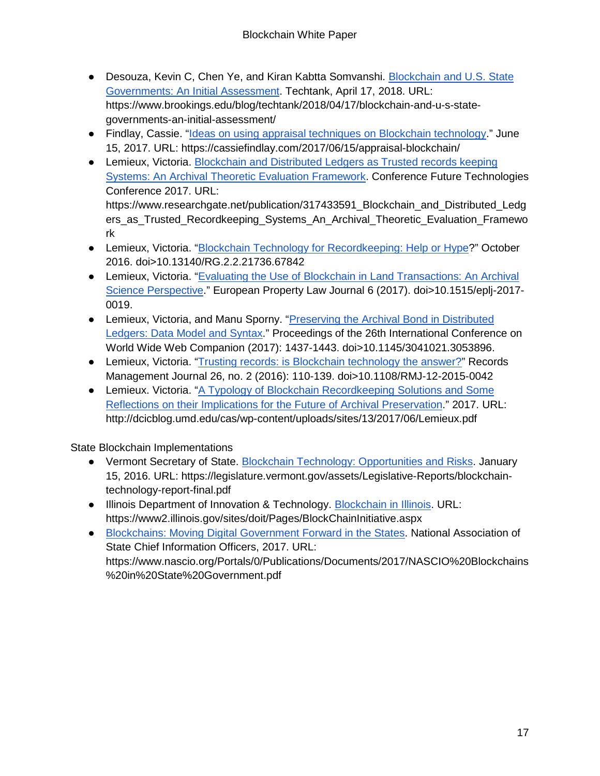- Desouza, Kevin C, Chen Ye, and Kiran Kabtta Somvanshi. [Blockchain and U.S. State](https://www.brookings.edu/blog/techtank/2018/04/17/blockchain-and-u-s-state-governments-an-initial-assessment/)  [Governments: An Initial Assessment.](https://www.brookings.edu/blog/techtank/2018/04/17/blockchain-and-u-s-state-governments-an-initial-assessment/) Techtank, April 17, 2018. URL: https://www.brookings.edu/blog/techtank/2018/04/17/blockchain-and-u-s-stategovernments-an-initial-assessment/
- Findlay, Cassie. ["Ideas on using appraisal techniques on Blockchain technology.](https://cassiefindlay.com/2017/06/15/appraisal-blockchain/)" June 15, 2017. URL: https://cassiefindlay.com/2017/06/15/appraisal-blockchain/
- Lemieux, Victoria. Blockchain and Distributed Ledgers as Trusted records keeping [Systems: An Archival Theoretic Evaluation Framework.](https://www.researchgate.net/publication/317433591_Blockchain_and_Distributed_Ledgers_as_Trusted_Recordkeeping_Systems_An_Archival_Theoretic_Evaluation_Framework) Conference Future Technologies Conference 2017. URL: https://www.researchgate.net/publication/317433591\_Blockchain\_and\_Distributed\_Ledg ers\_as\_Trusted\_Recordkeeping\_Systems\_An\_Archival\_Theoretic\_Evaluation\_Framewo rk
- Lemieux, Victoria. ["Blockchain Technology for Recordkeeping: Help or Hype?](https://www.yumpu.com/en/document/fullscreen/56531093/blockchain-for-recordkeeping-help-or-hype)" October 2016. doi>10.13140/RG.2.2.21736.67842
- Lemieux, Victoria. "Evaluating the Use of Blockchain in Land Transactions: An Archival [Science Perspective.](https://www.researchgate.net/publication/321690603_Evaluating_the_Use_of_Blockchain_in_Land_Transactions_An_Archival_Science_Perspective)" European Property Law Journal 6 (2017). doi>10.1515/eplj-2017- 0019.
- Lemieux, Victoria, and Manu Sporny. ["Preserving the Archival Bond in Distributed](https://dl.acm.org/citation.cfm?id=3053896)  [Ledgers: Data Model and Syntax.](https://dl.acm.org/citation.cfm?id=3053896)" Proceedings of the 26th International Conference on World Wide Web Companion (2017): 1437-1443. doi[>10.1145/3041021.3053896.](https://doi.org/10.1145/3041021.3053896)
- Lemieux, Victoria. ["Trusting records: is Blockchain technology the answer?"](https://www.emeraldinsight.com/doi/full/10.1108/RMJ-12-2015-0042) Records Management Journal 26, no. 2 (2016): 110-139. doi>10.1108/RMJ-12-2015-0042
- Lemieux. Victoria. "A Typology of Blockchain Recordkeeping Solutions and Some [Reflections on their Implications for the Future of Archival Preservation.](http://dcicblog.umd.edu/cas/wp-content/uploads/sites/13/2017/06/Lemieux.pdf)" 2017. URL: http://dcicblog.umd.edu/cas/wp-content/uploads/sites/13/2017/06/Lemieux.pdf

State Blockchain Implementations

- Vermont Secretary of State. [Blockchain Technology: Opportunities and Risks.](https://legislature.vermont.gov/assets/Legislative-Reports/blockchain-technology-report-final.pdf) January 15, 2016. URL: https://legislature.vermont.gov/assets/Legislative-Reports/blockchaintechnology-report-final.pdf
- Illinois Department of Innovation & Technology. [Blockchain in Illinois.](https://www2.illinois.gov/sites/doit/Pages/BlockChainInitiative.aspx) URL: https://www2.illinois.gov/sites/doit/Pages/BlockChainInitiative.aspx
- [Blockchains: Moving Digital Government Forward in the States.](https://www.nascio.org/Portals/0/Publications/Documents/2017/NASCIO%20Blockchains%20in%20State%20Government.pdf) National Association of State Chief Information Officers, 2017. URL: https://www.nascio.org/Portals/0/Publications/Documents/2017/NASCIO%20Blockchains %20in%20State%20Government.pdf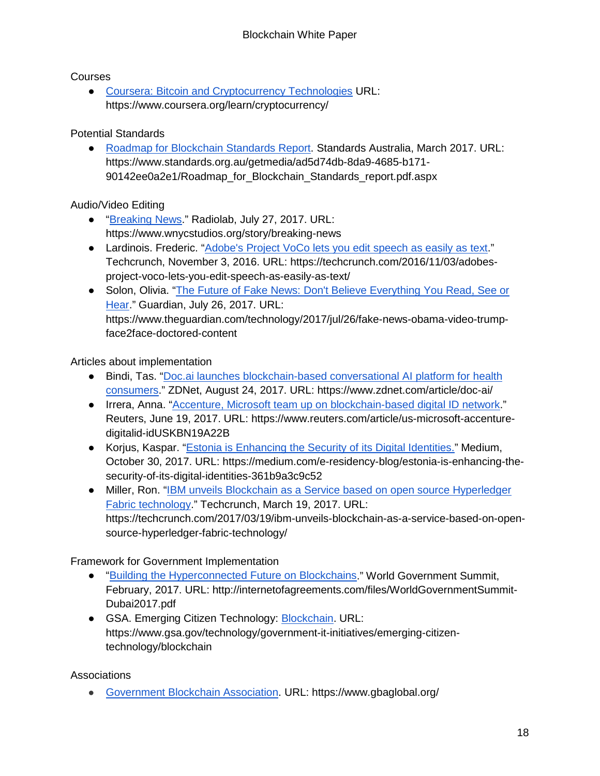#### Courses

● [Coursera: Bitcoin and Cryptocurrency Technologies](https://www.coursera.org/learn/cryptocurrency/) URL: https://www.coursera.org/learn/cryptocurrency/

#### Potential Standards

● [Roadmap for Blockchain Standards Report.](https://www.standards.org.au/getmedia/ad5d74db-8da9-4685-b171-90142ee0a2e1/Roadmap_for_Blockchain_Standards_report.pdf.aspx) Standards Australia, March 2017. URL: https://www.standards.org.au/getmedia/ad5d74db-8da9-4685-b171- 90142ee0a2e1/Roadmap\_for\_Blockchain\_Standards\_report.pdf.aspx

#### Audio/Video Editing

- ["Breaking News.](http://www.radiolab.org/story/breaking-news/)" Radiolab, July 27, 2017. URL: https://www.wnycstudios.org/story/breaking-news
- Lardinois. Frederic. ["Adobe's Project VoCo lets you edit speech as easily as text.](https://techcrunch.com/2016/11/03/adobes-project-voco-lets-you-edit-speech-as-easily-as-text/)" Techcrunch, November 3, 2016. URL: https://techcrunch.com/2016/11/03/adobesproject-voco-lets-you-edit-speech-as-easily-as-text/
- Solon, Olivia. "The Future of Fake News: Don't Believe Everything You Read, See or [Hear.](https://www.theguardian.com/technology/2017/jul/26/fake-news-obama-video-trump-face2face-doctored-content)" Guardian, July 26, 2017. URL: https://www.theguardian.com/technology/2017/jul/26/fake-news-obama-video-trumpface2face-doctored-content

Articles about implementation

- Bindi, Tas. "Doc.ai launches blockchain-based conversational AI platform for health [consumers.](http://www.zdnet.com/article/doc-ai/)" ZDNet, August 24, 2017. URL: https://www.zdnet.com/article/doc-ai/
- Irrera, Anna. ["Accenture, Microsoft team up on blockchain-based digital ID network.](http://www.reuters.com/article/us-microsoft-accenture-digitalid-idUSKBN19A22B)" Reuters, June 19, 2017. URL: https://www.reuters.com/article/us-microsoft-accenturedigitalid-idUSKBN19A22B
- Korjus, Kaspar. ["Estonia is Enhancing the Security of its Digital Identities."](https://medium.com/e-residency-blog/estonia-is-enhancing-the-security-of-its-digital-identities-361b9a3c9c52) Medium, October 30, 2017. URL: https://medium.com/e-residency-blog/estonia-is-enhancing-thesecurity-of-its-digital-identities-361b9a3c9c52
- Miller, Ron. "IBM unveils Blockchain as a Service based on open source Hyperledger [Fabric technology.](https://techcrunch.com/2017/03/19/ibm-unveils-blockchain-as-a-service-based-on-open-source-hyperledger-fabric-technology/)" Techcrunch, March 19, 2017. URL: https://techcrunch.com/2017/03/19/ibm-unveils-blockchain-as-a-service-based-on-opensource-hyperledger-fabric-technology/

Framework for Government Implementation

- ["Building the Hyperconnected Future on Blockchains.](http://internetofagreements.com/files/WorldGovernmentSummit-Dubai2017.pdf)" World Government Summit, February, 2017. URL: http://internetofagreements.com/files/WorldGovernmentSummit-Dubai2017.pdf
- GSA. Emerging Citizen Technology: [Blockchain.](https://www.gsa.gov/technology/government-it-initiatives/emerging-citizen-technology/blockchain) URL: https://www.gsa.gov/technology/government-it-initiatives/emerging-citizentechnology/blockchain

Associations

● [Government Blockchain Association.](https://www.gbaglobal.org/) URL: https://www.gbaglobal.org/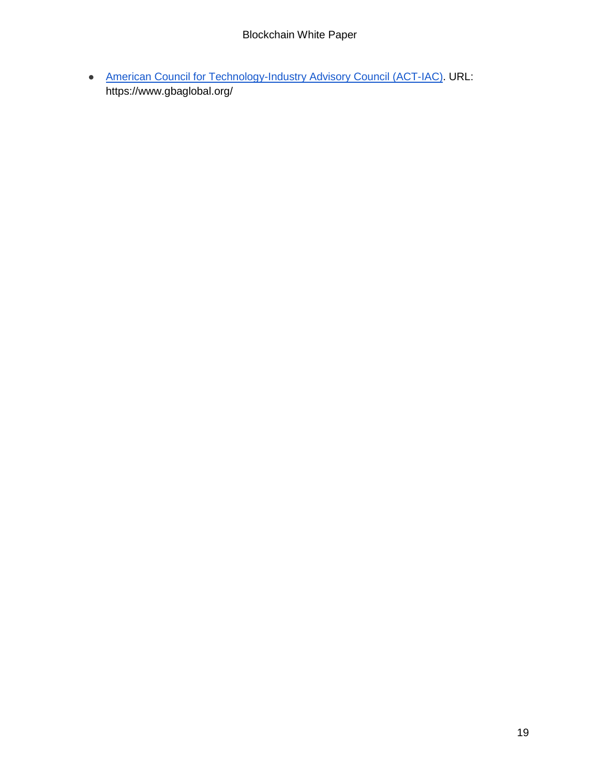• [American Council for Technology-Industry Advisory Council \(ACT-IAC\).](https://www.actiac.org/) URL: https://www.gbaglobal.org/